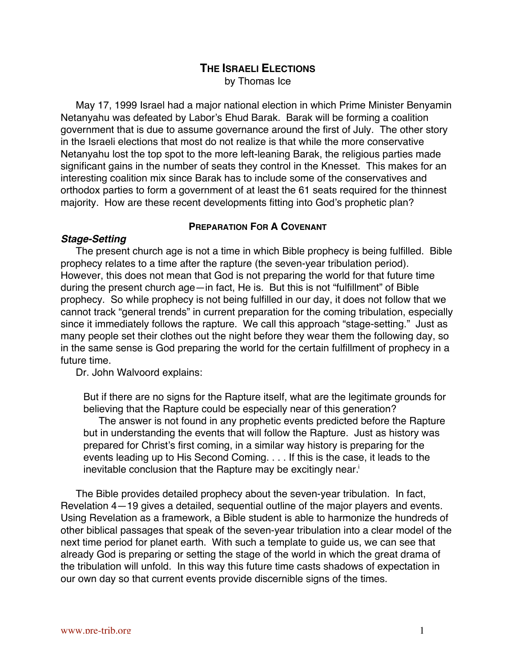# **THE ISRAELI ELECTIONS** by Thomas Ice

May 17, 1999 Israel had a major national election in which Prime Minister Benyamin Netanyahu was defeated by Labor's Ehud Barak. Barak will be forming a coalition government that is due to assume governance around the first of July. The other story in the Israeli elections that most do not realize is that while the more conservative Netanyahu lost the top spot to the more left-leaning Barak, the religious parties made significant gains in the number of seats they control in the Knesset. This makes for an interesting coalition mix since Barak has to include some of the conservatives and orthodox parties to form a government of at least the 61 seats required for the thinnest majority. How are these recent developments fitting into God's prophetic plan?

### **PREPARATION FOR A COVENANT**

## **Stage-Setting**

The present church age is not a time in which Bible prophecy is being fulfilled. Bible prophecy relates to a time after the rapture (the seven-year tribulation period). However, this does not mean that God is not preparing the world for that future time during the present church age—in fact, He is. But this is not "fulfillment" of Bible prophecy. So while prophecy is not being fulfilled in our day, it does not follow that we cannot track "general trends" in current preparation for the coming tribulation, especially since it immediately follows the rapture. We call this approach "stage-setting." Just as many people set their clothes out the night before they wear them the following day, so in the same sense is God preparing the world for the certain fulfillment of prophecy in a future time.

Dr. John Walvoord explains:

But if there are no signs for the Rapture itself, what are the legitimate grounds for believing that the Rapture could be especially near of this generation?

The answer is not found in any prophetic events predicted before the Rapture but in understanding the events that will follow the Rapture. Just as history was prepared for Christ's first coming, in a similar way history is preparing for the events leading up to His Second Coming. . . . If this is the case, it leads to the inevitable conclusion that the Rapture may be excitingly near.<sup>i</sup>

The Bible provides detailed prophecy about the seven-year tribulation. In fact, Revelation 4—19 gives a detailed, sequential outline of the major players and events. Using Revelation as a framework, a Bible student is able to harmonize the hundreds of other biblical passages that speak of the seven-year tribulation into a clear model of the next time period for planet earth. With such a template to guide us, we can see that already God is preparing or setting the stage of the world in which the great drama of the tribulation will unfold. In this way this future time casts shadows of expectation in our own day so that current events provide discernible signs of the times.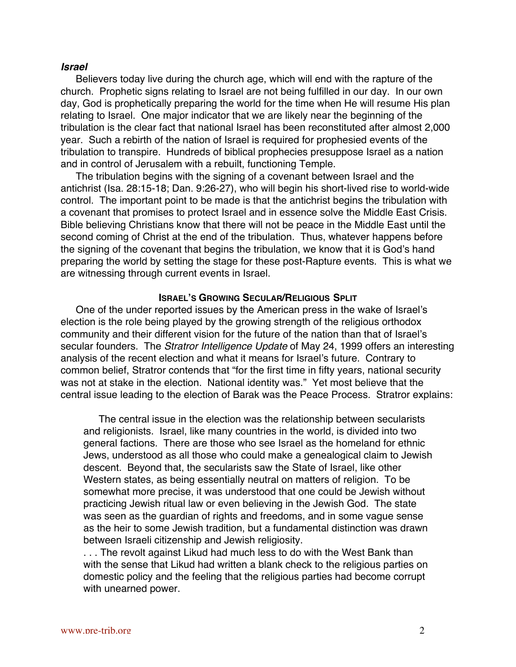## **Israel**

Believers today live during the church age, which will end with the rapture of the church. Prophetic signs relating to Israel are not being fulfilled in our day. In our own day, God is prophetically preparing the world for the time when He will resume His plan relating to Israel. One major indicator that we are likely near the beginning of the tribulation is the clear fact that national Israel has been reconstituted after almost 2,000 year. Such a rebirth of the nation of Israel is required for prophesied events of the tribulation to transpire. Hundreds of biblical prophecies presuppose Israel as a nation and in control of Jerusalem with a rebuilt, functioning Temple.

The tribulation begins with the signing of a covenant between Israel and the antichrist (Isa. 28:15-18; Dan. 9:26-27), who will begin his short-lived rise to world-wide control. The important point to be made is that the antichrist begins the tribulation with a covenant that promises to protect Israel and in essence solve the Middle East Crisis. Bible believing Christians know that there will not be peace in the Middle East until the second coming of Christ at the end of the tribulation. Thus, whatever happens before the signing of the covenant that begins the tribulation, we know that it is God's hand preparing the world by setting the stage for these post-Rapture events. This is what we are witnessing through current events in Israel.

#### **ISRAEL'S GROWING SECULAR/RELIGIOUS SPLIT**

One of the under reported issues by the American press in the wake of Israel's election is the role being played by the growing strength of the religious orthodox community and their different vision for the future of the nation than that of Israel's secular founders. The Stratror Intelligence Update of May 24, 1999 offers an interesting analysis of the recent election and what it means for Israel's future. Contrary to common belief, Stratror contends that "for the first time in fifty years, national security was not at stake in the election. National identity was." Yet most believe that the central issue leading to the election of Barak was the Peace Process. Stratror explains:

The central issue in the election was the relationship between secularists and religionists. Israel, like many countries in the world, is divided into two general factions. There are those who see Israel as the homeland for ethnic Jews, understood as all those who could make a genealogical claim to Jewish descent. Beyond that, the secularists saw the State of Israel, like other Western states, as being essentially neutral on matters of religion. To be somewhat more precise, it was understood that one could be Jewish without practicing Jewish ritual law or even believing in the Jewish God. The state was seen as the guardian of rights and freedoms, and in some vague sense as the heir to some Jewish tradition, but a fundamental distinction was drawn between Israeli citizenship and Jewish religiosity.

. . . The revolt against Likud had much less to do with the West Bank than with the sense that Likud had written a blank check to the religious parties on domestic policy and the feeling that the religious parties had become corrupt with unearned power.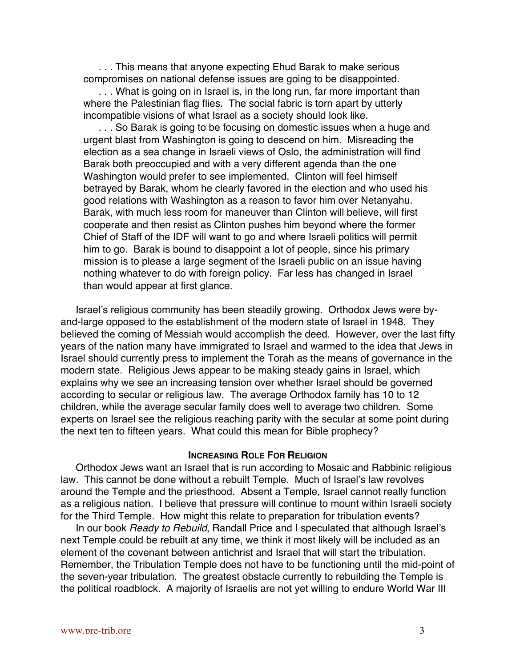. . . This means that anyone expecting Ehud Barak to make serious compromises on national defense issues are going to be disappointed.

... What is going on in Israel is, in the long run, far more important than where the Palestinian flag flies. The social fabric is torn apart by utterly incompatible visions of what Israel as a society should look like.

... So Barak is going to be focusing on domestic issues when a huge and urgent blast from Washington is going to descend on him. Misreading the election as a sea change in Israeli views of Oslo, the administration will find Barak both preoccupied and with a very different agenda than the one Washington would prefer to see implemented. Clinton will feel himself betrayed by Barak, whom he clearly favored in the election and who used his good relations with Washington as a reason to favor him over Netanyahu. Barak, with much less room for maneuver than Clinton will believe, will first cooperate and then resist as Clinton pushes him beyond where the former Chief of Staff of the IDF will want to go and where Israeli politics will permit him to go. Barak is bound to disappoint a lot of people, since his primary mission is to please a large segment of the Israeli public on an issue having nothing whatever to do with foreign policy. Far less has changed in Israel than would appear at first glance.

Israel's religious community has been steadily growing. Orthodox Jews were byand-large opposed to the establishment of the modern state of Israel in 1948. They believed the coming of Messiah would accomplish the deed. However, over the last fifty years of the nation many have immigrated to Israel and warmed to the idea that Jews in Israel should currently press to implement the Torah as the means of governance in the modern state. Religious Jews appear to be making steady gains in Israel, which explains why we see an increasing tension over whether Israel should be governed according to secular or religious law. The average Orthodox family has 10 to 12 children, while the average secular family does well to average two children. Some experts on Israel see the religious reaching parity with the secular at some point during the next ten to fifteen years. What could this mean for Bible prophecy?

#### **INCREASING ROLE FOR RELIGION**

Orthodox Jews want an Israel that is run according to Mosaic and Rabbinic religious law. This cannot be done without a rebuilt Temple. Much of Israel's law revolves around the Temple and the priesthood. Absent a Temple, Israel cannot really function as a religious nation. I believe that pressure will continue to mount within Israeli society for the Third Temple. How might this relate to preparation for tribulation events?

In our book Ready to Rebuild, Randall Price and I speculated that although Israel's next Temple could be rebuilt at any time, we think it most likely will be included as an element of the covenant between antichrist and Israel that will start the tribulation. Remember, the Tribulation Temple does not have to be functioning until the mid-point of the seven-year tribulation. The greatest obstacle currently to rebuilding the Temple is the political roadblock. A majority of Israelis are not yet willing to endure World War III